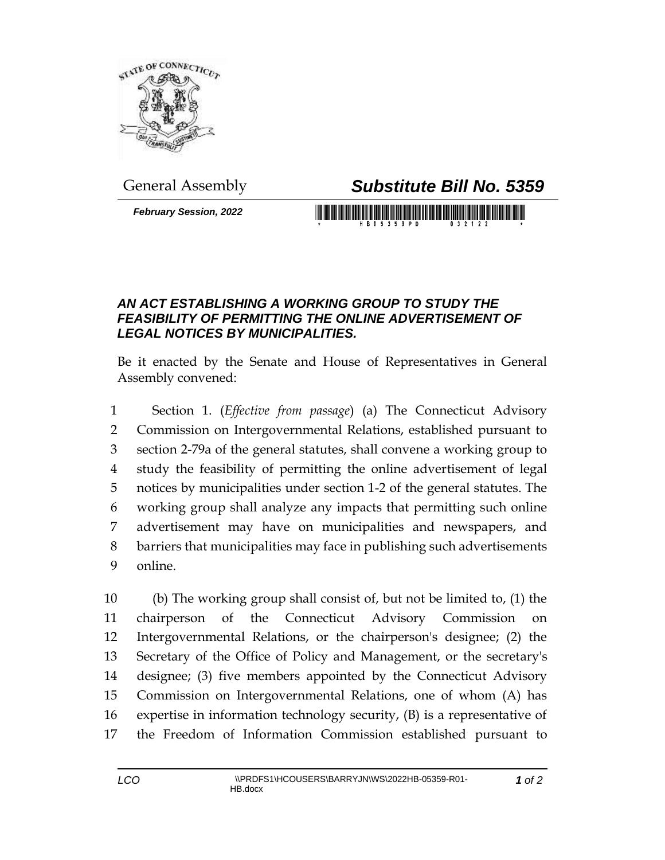

## General Assembly *Substitute Bill No. 5359*

*February Session, 2022*

## 

## *AN ACT ESTABLISHING A WORKING GROUP TO STUDY THE FEASIBILITY OF PERMITTING THE ONLINE ADVERTISEMENT OF LEGAL NOTICES BY MUNICIPALITIES.*

Be it enacted by the Senate and House of Representatives in General Assembly convened:

 Section 1. (*Effective from passage*) (a) The Connecticut Advisory Commission on Intergovernmental Relations, established pursuant to section 2-79a of the general statutes, shall convene a working group to study the feasibility of permitting the online advertisement of legal notices by municipalities under section 1-2 of the general statutes. The working group shall analyze any impacts that permitting such online advertisement may have on municipalities and newspapers, and barriers that municipalities may face in publishing such advertisements online.

 (b) The working group shall consist of, but not be limited to, (1) the chairperson of the Connecticut Advisory Commission on Intergovernmental Relations, or the chairperson's designee; (2) the Secretary of the Office of Policy and Management, or the secretary's designee; (3) five members appointed by the Connecticut Advisory Commission on Intergovernmental Relations, one of whom (A) has expertise in information technology security, (B) is a representative of the Freedom of Information Commission established pursuant to